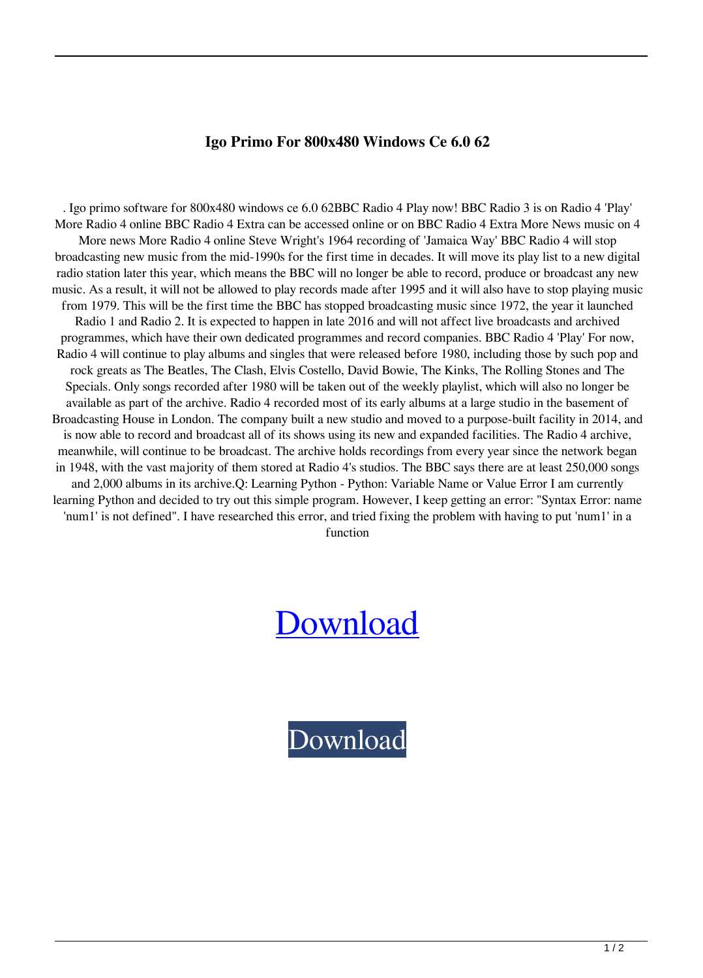## **Igo Primo For 800x480 Windows Ce 6.0 62**

. Igo primo software for 800x480 windows ce 6.0 62BBC Radio 4 Play now! BBC Radio 3 is on Radio 4 'Play' More Radio 4 online BBC Radio 4 Extra can be accessed online or on BBC Radio 4 Extra More News music on 4 More news More Radio 4 online Steve Wright's 1964 recording of 'Jamaica Way' BBC Radio 4 will stop broadcasting new music from the mid-1990s for the first time in decades. It will move its play list to a new digital radio station later this year, which means the BBC will no longer be able to record, produce or broadcast any new music. As a result, it will not be allowed to play records made after 1995 and it will also have to stop playing music from 1979. This will be the first time the BBC has stopped broadcasting music since 1972, the year it launched Radio 1 and Radio 2. It is expected to happen in late 2016 and will not affect live broadcasts and archived programmes, which have their own dedicated programmes and record companies. BBC Radio 4 'Play' For now, Radio 4 will continue to play albums and singles that were released before 1980, including those by such pop and rock greats as The Beatles, The Clash, Elvis Costello, David Bowie, The Kinks, The Rolling Stones and The Specials. Only songs recorded after 1980 will be taken out of the weekly playlist, which will also no longer be available as part of the archive. Radio 4 recorded most of its early albums at a large studio in the basement of Broadcasting House in London. The company built a new studio and moved to a purpose-built facility in 2014, and is now able to record and broadcast all of its shows using its new and expanded facilities. The Radio 4 archive, meanwhile, will continue to be broadcast. The archive holds recordings from every year since the network began in 1948, with the vast majority of them stored at Radio 4's studios. The BBC says there are at least 250,000 songs and 2,000 albums in its archive.Q: Learning Python - Python: Variable Name or Value Error I am currently learning Python and decided to try out this simple program. However, I keep getting an error: "Syntax Error: name 'num1' is not defined". I have researched this error, and tried fixing the problem with having to put 'num1' in a function

## [Download](http://evacdir.com/SWdvIHByaW1vIGZvciA4MDB4NDgwIHdpbmRvd3MgY2UgNi4wIDYySWd/ZG93bmxvYWR8V3AzTW1VeE9YeDhNVFkxTWpjME1EZzJObng4TWpVM05IeDhLRTBwSUhKbFlXUXRZbXh2WnlCYlJtRnpkQ0JIUlU1ZA/haandi.ingles/kasparov/join/anandamide/kinesthetic)

[Download](http://evacdir.com/SWdvIHByaW1vIGZvciA4MDB4NDgwIHdpbmRvd3MgY2UgNi4wIDYySWd/ZG93bmxvYWR8V3AzTW1VeE9YeDhNVFkxTWpjME1EZzJObng4TWpVM05IeDhLRTBwSUhKbFlXUXRZbXh2WnlCYlJtRnpkQ0JIUlU1ZA/haandi.ingles/kasparov/join/anandamide/kinesthetic)